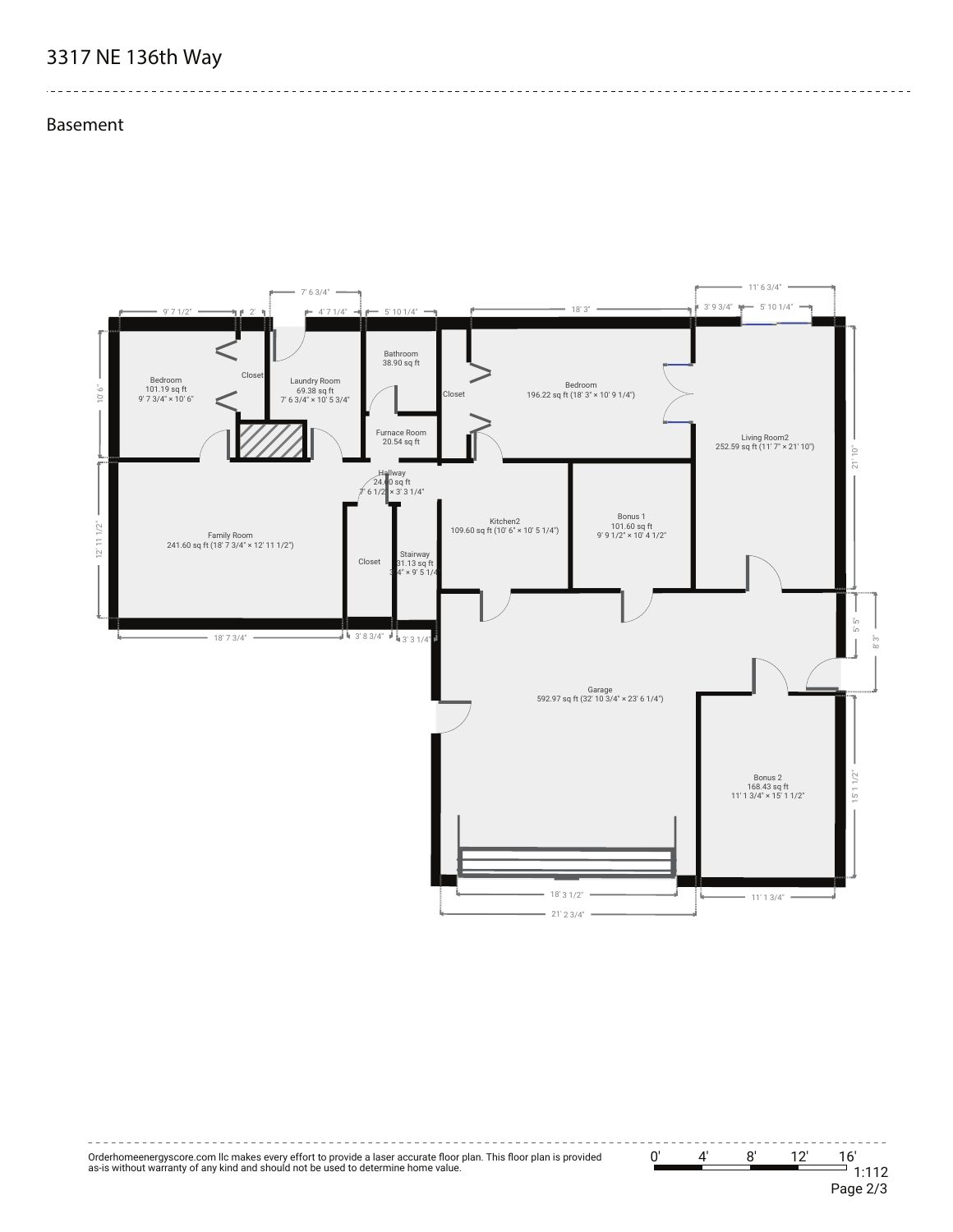## **3317 NE 136th Way**

**Basement**

 $\frac{1}{2}$ 





--------------------------------